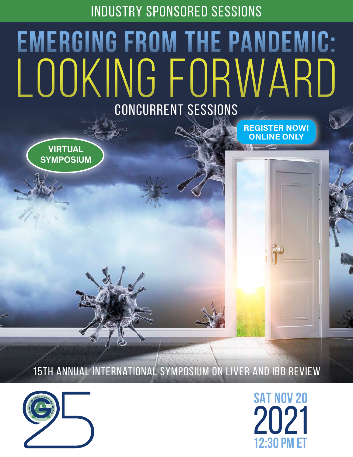INDUSTRY SPONSORED SESSIONS

## Looking Forward **Emerging from the Pandemic:** CONCURRENT SESSIONS

[REGISTER NOW!](https://liver2021-22.gastro.on.ca/register) ONLINE ONLY



15th Annual International Symposium on Liver and IBD Review